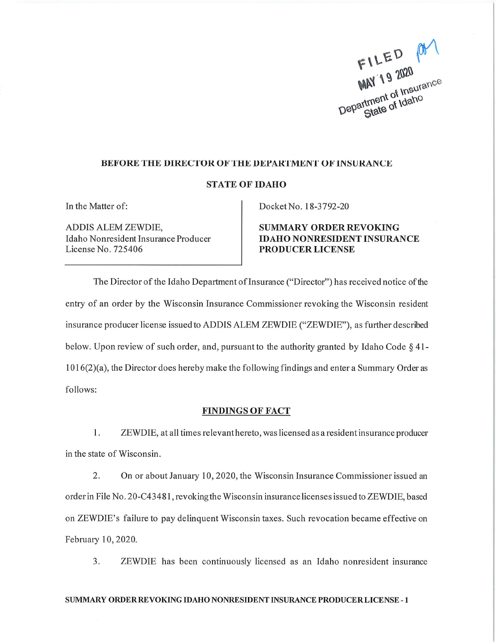FILED MY Department of Insurance State of Idaho

### **BEFORE THE DIRECTOR OF THE DEPARTMENT OF INSURANCE**

#### **STATE OF IDAHO**

In the Matter of:

ADDIS ALEM ZEWDIE, Idaho Nonresident Insurance Producer License No. 725406

Docket No. 18-3792-20

**SUMMARY ORDER REVOKING IDAHO NONRESIDENT INSURANCE PRODUCER LICENSE** 

The Director of the Idaho Department of Insurance ("Director") has received notice of the entry of an order by the Wisconsin Insurance Commissioner revoking the Wisconsin resident insurance producer license issued to ADDIS ALEM ZEWDIE ("ZEWDIE"), as further described below. Upon review of such order, and, pursuant to the authority granted by Idaho Code § 41- $1016(2)(a)$ , the Director does hereby make the following findings and enter a Summary Order as follows:

#### **FINDINGS OF FACT**

1. ZEWDIE, at all times relevant hereto, was licensed as a resident insurance producer in the state of Wisconsin.

2. On or about January 10, 2020, the Wisconsin Insurance Commissioner issued an order in File No. 20-C43481, revoking the Wisconsin insurance licenses issued to ZEWDIE, based on ZEWDIE's failure to pay delinquent Wisconsin taxes. Such revocation became effective on February 10, 2020.

3. ZEWDIE has been continuously licensed as an Idaho nonresident insurance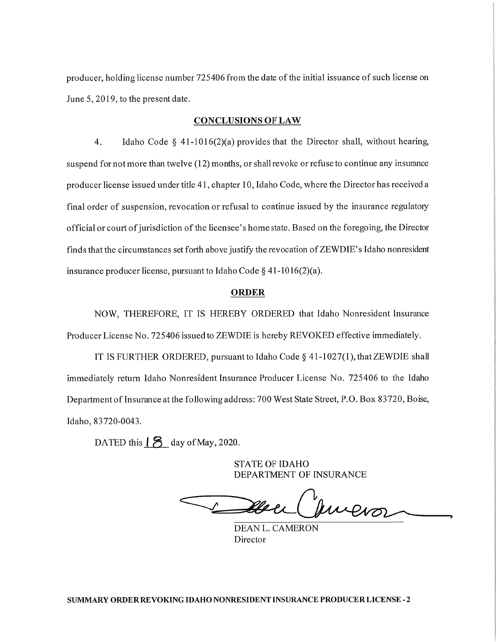producer, holding license number 725406 from the date of the initial issuance of such license on June 5, 2019, to the present date.

### **CONCLUSIONS OF LAW**

 $\overline{4}$ . Idaho Code § 41-1016(2)(a) provides that the Director shall, without hearing, suspend for not more than twelve (12) months, or shall revoke or refuse to continue any insurance producer license issued under title 41, chapter 10, Idaho Code, where the Director has received a final order of suspension, revocation or refusal to continue issued by the insurance regulatory official or court of jurisdiction of the licensee's home state. Based on the foregoing, the Director finds that the circumstances set forth above justify the revocation of ZEWDIE's Idaho nonresident insurance producer license, pursuant to Idaho Code  $\S$  41-1016(2)(a).

## **ORDER**

NOW, THEREFORE, IT IS HEREBY ORDERED that Idaho Nonresident Insurance Producer License No. 725406 issued to ZEWDIE is hereby REVOKED effective immediately.

IT IS FURTHER ORDERED, pursuant to Idaho Code § 41-1027(1), that ZEWDIE shall immediately return Idaho Nonresident Insurance Producer License No. 725406 to the Idaho Department of Insurance at the following address: 700 West State Street, P.O. Box 83720, Boise, Idaho, 83720-0043.

DATED this  $\vert 8 \vert$  day of May, 2020.

**STATE OF IDAHO** DEPARTMENT OF INSURANCE

Juvevor

**DEAN L. CAMERON** Director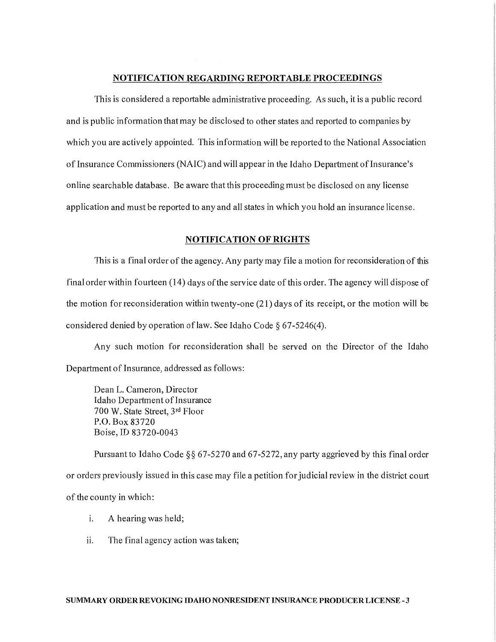## NOTIFICATION REGARDING REPORTABLE PROCEEDINGS

This is considered a reportable administrative proceeding. As such, it is a public record and is public information that may be disclosed to other states and reported to companies by which you are actively appointed. This information will be reported to the National Association of Insurance Commissioners (NAIC) and will appear in the Idaho Department of Insurance's online searchable database. Be aware that this proceeding must be disclosed on any license application and must be reported to any and all states in which you hold an insurance license.

## **NOTIFICATION OF RIGHTS**

This is a final order of the agency. Any party may file a motion for reconsideration of this final order within fourteen (14) days of the service date of this order. The agency will dispose of the motion for reconsideration within twenty-one (21) days of its receipt, or the motion will be considered denied by operation of law. See Idaho Code  $\S 67-5246(4)$ .

Any such motion for reconsideration shall be served on the Director of the Idaho Department of Insurance, addressed as follows:

Dean L. Cameron, Director Idaho Department of Insurance 700 W. State Street, 3rd Floor P.O. Box 83720 Boise, ID 83720-0043

Pursuant to Idaho Code §§ 67-5270 and 67-5272, any party aggrieved by this final order or orders previously issued in this case may file a petition for judicial review in the district court of the county in which:

- i. A hearing was held;
- ii. The final agency action was taken;